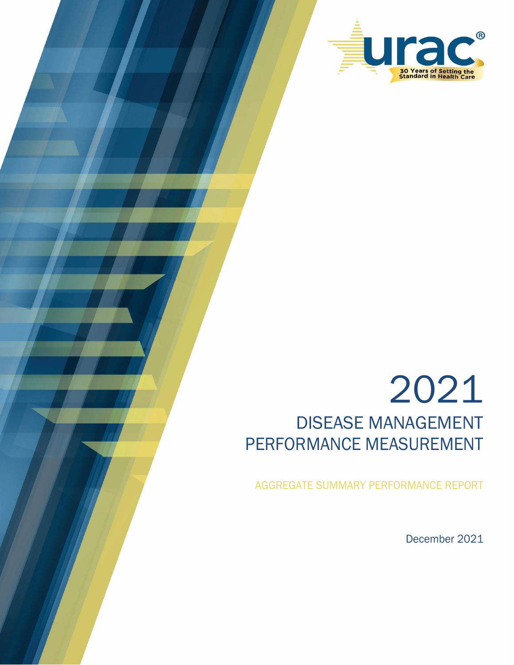

# 2021 DISEASE MANAGEMENT PERFORMANCE MEASUREMENT

AGGREGATE SUMMARY PERFORMANCE REPORT

December 2021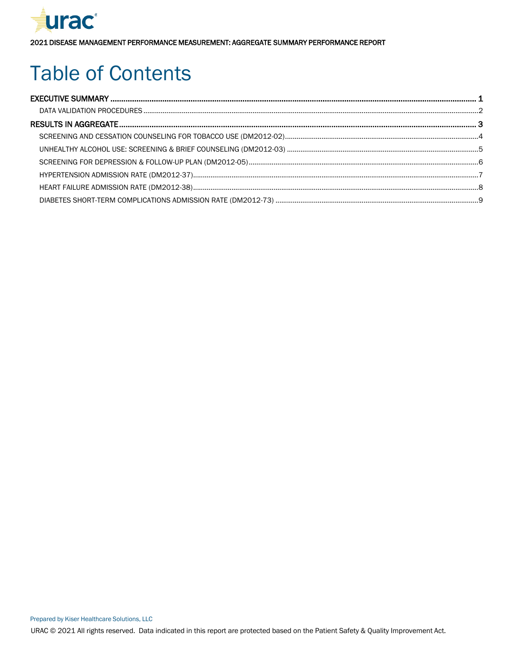

# Table of Contents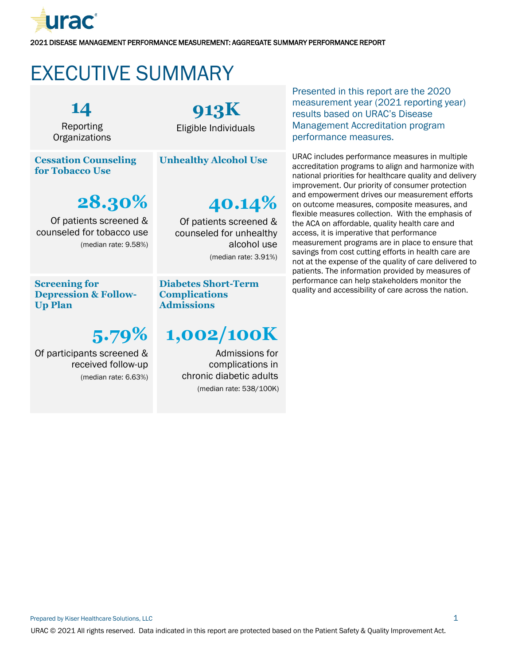

# <span id="page-2-0"></span>EXECUTIVE SUMMARY

**14** Reporting **Organizations** 

**Cessation Counseling for Tobacco Use**

**28.30%**

Of patients screened & counseled for tobacco use (median rate: 9.58%)

# **913K**

Eligible Individuals

**Unhealthy Alcohol Use**

# **40.14%**

Of patients screened & counseled for unhealthy alcohol use (median rate: 3.91%)

**Screening for Depression & Follow-Up Plan**

# **5.79%**

Of participants screened & received follow-up (median rate: 6.63%) **Diabetes Short-Term Complications Admissions**

# **1,002/100K**

Admissions for complications in chronic diabetic adults (median rate: 538/100K) Presented in this report are the 2020 measurement year (2021 reporting year) results based on URAC's Disease Management Accreditation program performance measures.

URAC includes performance measures in multiple accreditation programs to align and harmonize with national priorities for healthcare quality and delivery improvement. Our priority of consumer protection and empowerment drives our measurement efforts on outcome measures, composite measures, and flexible measures collection. With the emphasis of the ACA on affordable, quality health care and access, it is imperative that performance measurement programs are in place to ensure that savings from cost cutting efforts in health care are not at the expense of the quality of care delivered to patients. The information provided by measures of performance can help stakeholders monitor the quality and accessibility of care across the nation.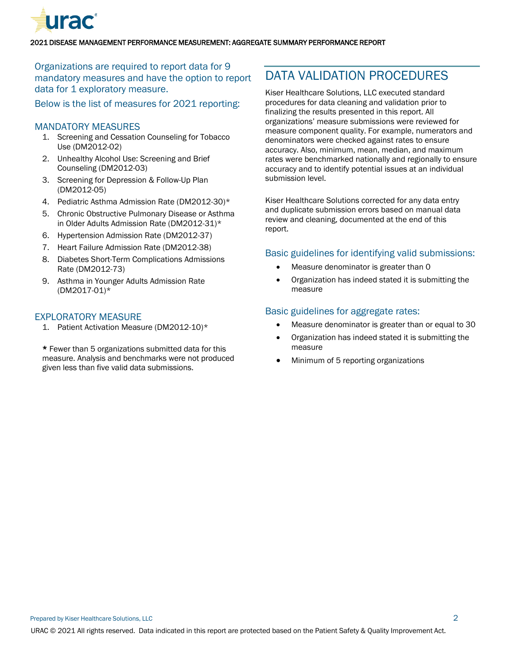

### Organizations are required to report data for 9 mandatory measures and have the option to report data for 1 exploratory measure.

Below is the list of measures for 2021 reporting:

#### MANDATORY MEASURES

- 1. Screening and Cessation Counseling for Tobacco Use (DM2012-02)
- 2. Unhealthy Alcohol Use: Screening and Brief Counseling (DM2012-03)
- 3. Screening for Depression & Follow-Up Plan (DM2012-05)
- 4. Pediatric Asthma Admission Rate (DM2012-30)\*
- 5. Chronic Obstructive Pulmonary Disease or Asthma in Older Adults Admission Rate (DM2012-31)\*
- 6. Hypertension Admission Rate (DM2012-37)
- 7. Heart Failure Admission Rate (DM2012-38)
- 8. Diabetes Short-Term Complications Admissions Rate (DM2012-73)
- 9. Asthma in Younger Adults Admission Rate (DM2017-01)\*

#### EXPLORATORY MEASURE

1. Patient Activation Measure (DM2012-10)\*

\* Fewer than 5 organizations submitted data for this measure. Analysis and benchmarks were not produced given less than five valid data submissions.

### <span id="page-3-0"></span>DATA VALIDATION PROCEDURES

Kiser Healthcare Solutions, LLC executed standard procedures for data cleaning and validation prior to finalizing the results presented in this report. All organizations' measure submissions were reviewed for measure component quality. For example, numerators and denominators were checked against rates to ensure accuracy. Also, minimum, mean, median, and maximum rates were benchmarked nationally and regionally to ensure accuracy and to identify potential issues at an individual submission level.

Kiser Healthcare Solutions corrected for any data entry and duplicate submission errors based on manual data review and cleaning, documented at the end of this report.

#### Basic guidelines for identifying valid submissions:

- Measure denominator is greater than 0
- Organization has indeed stated it is submitting the measure

#### Basic guidelines for aggregate rates:

- Measure denominator is greater than or equal to 30
- Organization has indeed stated it is submitting the measure
- Minimum of 5 reporting organizations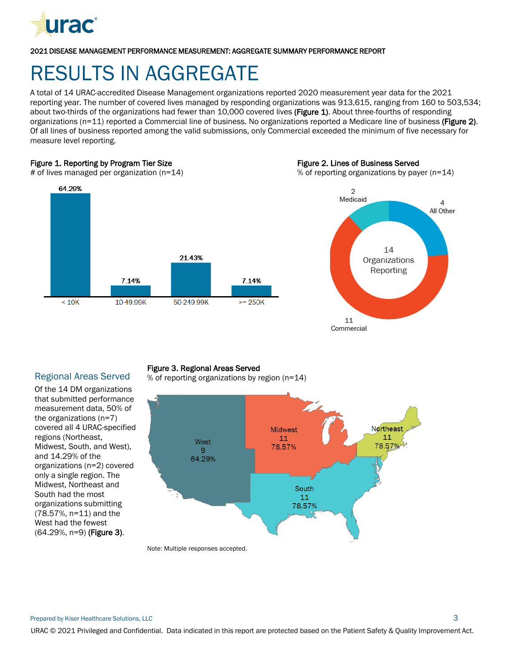

# <span id="page-4-0"></span>RESULTS IN AGGREGATE

A total of 14 URAC-accredited Disease Management organizations reported 2020 measurement year data for the 2021 reporting year. The number of covered lives managed by responding organizations was 913,615, ranging from 160 to 503,534; about two-thirds of the organizations had fewer than 10,000 covered lives (Figure 1). About three-fourths of responding organizations (n=11) reported a Commercial line of business. No organizations reported a Medicare line of business (Figure 2). Of all lines of business reported among the valid submissions, only Commercial exceeded the minimum of five necessary for measure level reporting.

#### Figure 1. Reporting by Program Tier Size

# of lives managed per organization (n=14)



#### Figure 2. Lines of Business Served

% of reporting organizations by payer (n=14)



#### Regional Areas Served

Of the 14 DM organizations that submitted performance measurement data, 50% of the organizations (n=7) covered all 4 URAC-specified regions (Northeast, Midwest, South, and West), and 14.29% of the organizations (n=2) covered only a single region. The Midwest, Northeast and South had the most organizations submitting (78.57%, n=11) and the West had the fewest (64.29%, n=9) (Figure 3).

#### Figure 3. Regional Areas Served

% of reporting organizations by region (n=14)



Note: Multiple responses accepted.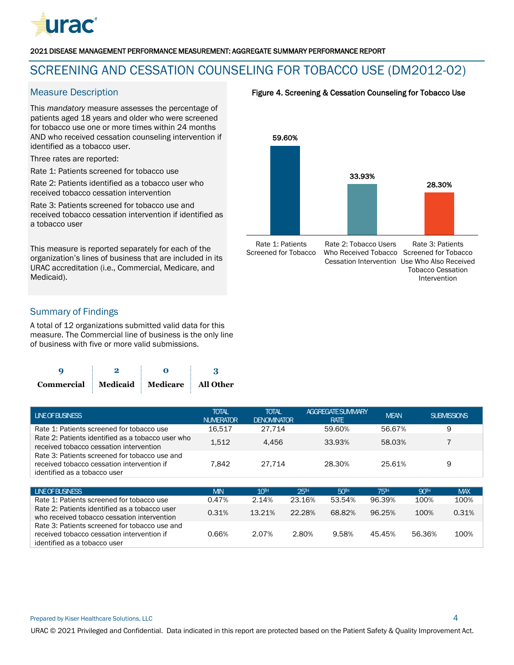

## <span id="page-5-0"></span>SCREENING AND CESSATION COUNSELING FOR TOBACCO USE (DM2012-02)

This *mandatory* measure assesses the percentage of patients aged 18 years and older who were screened for tobacco use one or more times within 24 months AND who received cessation counseling intervention if identified as a tobacco user.

Three rates are reported:

Rate 1: Patients screened for tobacco use

Rate 2: Patients identified as a tobacco user who received tobacco cessation intervention

Rate 3: Patients screened for tobacco use and received tobacco cessation intervention if identified as a tobacco user

This measure is reported separately for each of the organization's lines of business that are included in its URAC accreditation (i.e., Commercial, Medicare, and Medicaid).

#### Measure Description **Figure 4. Screening & Cessation Counseling for Tobacco Use**



Rate 1: Patients Screened for Tobacco

Rate 2: Tobacco Users Who Received Tobacco Screened for Tobacco Cessation Intervention Use Who Also Received

Rate 3: Patients Tobacco Cessation Intervention

### Summary of Findings

identified as a tobacco user

A total of 12 organizations submitted valid data for this measure. The Commercial line of business is the only line of business with five or more valid submissions.

| Commercial Medicaid Medicare All Other |  |  |  |  |
|----------------------------------------|--|--|--|--|

| <b>LINE OF BUSINESS</b>                                                                                                     | <b>TOTAL</b><br><b>NUMERATOR</b> | <b>TOTAL</b><br><b>DENOMINATOR</b> |        | <b>AGGREGATE SUMMARY</b><br><b>RATE</b> | <b>MEAN</b>     |             | <b>SUBMISSIONS</b> |
|-----------------------------------------------------------------------------------------------------------------------------|----------------------------------|------------------------------------|--------|-----------------------------------------|-----------------|-------------|--------------------|
| Rate 1: Patients screened for tobacco use                                                                                   | 16.517                           | 27.714                             |        | 59.60%                                  | 56.67%          |             | 9                  |
| Rate 2: Patients identified as a tobacco user who<br>received tobacco cessation intervention                                | 1,512                            | 4,456                              |        | 33.93%                                  | 58.03%          |             |                    |
| Rate 3: Patients screened for tobacco use and<br>received tobacco cessation intervention if<br>identified as a tobacco user | 7.842                            | 27.714                             |        | 28.30%                                  | 25.61%          |             | 9                  |
|                                                                                                                             |                                  |                                    |        |                                         |                 |             |                    |
| <b>LINE OF BUSINESS</b>                                                                                                     | <b>MIN</b>                       | 10 <sup>th</sup>                   | 25H    | 50 <sup>H</sup>                         | 75 <sup>H</sup> | <b>90TH</b> | <b>MAX</b>         |
| Rate 1: Patients screened for tobacco use                                                                                   | 0.47%                            | 2.14%                              | 23.16% | 53.54%                                  | 96.39%          | 100%        | 100%               |
| Rate 2: Patients identified as a tobacco user<br>who received tobacco cessation intervention                                | 0.31%                            | 13.21%                             | 22.28% | 68.82%                                  | 96.25%          | 100%        | 0.31%              |
| Rate 3: Patients screened for tobacco use and<br>received tobacco cessation intervention if                                 | 0.66%                            | 2.07%                              | 2.80%  | 9.58%                                   | 45.45%          | 56.36%      | 100%               |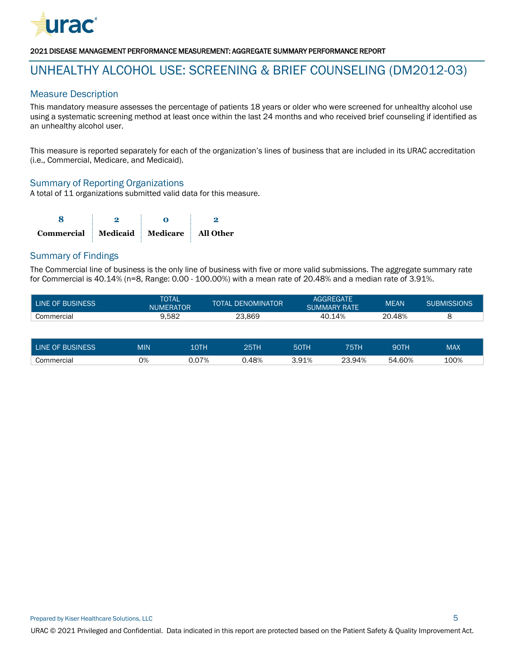

### <span id="page-6-0"></span>UNHEALTHY ALCOHOL USE: SCREENING & BRIEF COUNSELING (DM2012-03)

#### Measure Description

This mandatory measure assesses the percentage of patients 18 years or older who were screened for unhealthy alcohol use using a systematic screening method at least once within the last 24 months and who received brief counseling if identified as an unhealthy alcohol user.

This measure is reported separately for each of the organization's lines of business that are included in its URAC accreditation (i.e., Commercial, Medicare, and Medicaid).

#### Summary of Reporting Organizations

A total of 11 organizations submitted valid data for this measure.

| Commercial Medicaid Medicare All Other |  |  |  |  |
|----------------------------------------|--|--|--|--|

#### Summary of Findings

The Commercial line of business is the only line of business with five or more valid submissions. The aggregate summary rate for Commercial is 40.14% (n=8, Range: 0.00 - 100.00%) with a mean rate of 20.48% and a median rate of 3.91%.

| LINE OF BUSINESS | <b>TOTAL</b><br><b>NUMERATOR</b> | <b>TOTAL DENOMINATOR</b> |        | <b>MEAN</b> | <b>SUBMISSIONS</b> |
|------------------|----------------------------------|--------------------------|--------|-------------|--------------------|
| Commercial       | 9.582                            | 23.869                   | 40.14% | 20.48%      |                    |
|                  |                                  |                          |        |             |                    |

| <b>LINE OF BUSINESS</b> | <b>MIN</b> | .OTH  | つにエレ   | 50TF  | 75TH        | 90TH          | MAX  |
|-------------------------|------------|-------|--------|-------|-------------|---------------|------|
| Commercial              | 0%         | 7.07% | 48%. ل | 3.91% | 23.94%<br>ົ | 1.60%<br>. 54 | 100% |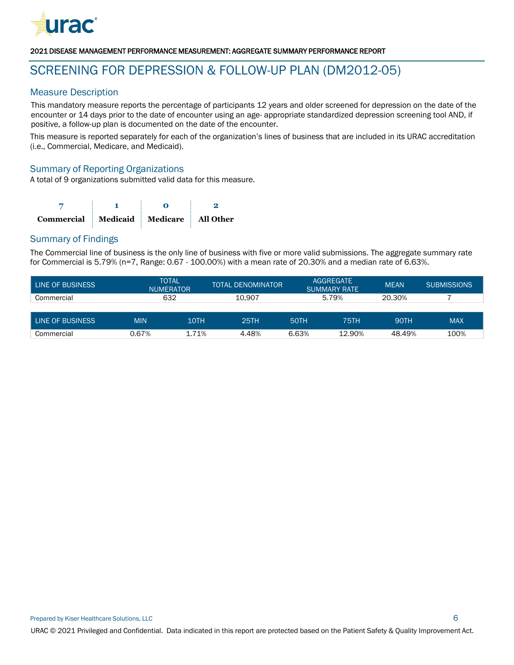

### <span id="page-7-0"></span>SCREENING FOR DEPRESSION & FOLLOW-UP PLAN (DM2012-05)

#### Measure Description

This mandatory measure reports the percentage of participants 12 years and older screened for depression on the date of the encounter or 14 days prior to the date of encounter using an age- appropriate standardized depression screening tool AND, if positive, a follow-up plan is documented on the date of the encounter.

This measure is reported separately for each of the organization's lines of business that are included in its URAC accreditation (i.e., Commercial, Medicare, and Medicaid).

#### Summary of Reporting Organizations

A total of 9 organizations submitted valid data for this measure.

| Commercial Medicaid Medicare All Other |  |  |  |  |
|----------------------------------------|--|--|--|--|

#### Summary of Findings

The Commercial line of business is the only line of business with five or more valid submissions. The aggregate summary rate for Commercial is 5.79% (n=7, Range: 0.67 - 100.00%) with a mean rate of 20.30% and a median rate of 6.63%.

| LINE OF BUSINESS |            | <b>TOTAL</b><br><b>TOTAL DENOMINATOR</b><br><b>NUMERATOR</b> |        | <b>AGGREGATE</b><br><b>SUMMARY RATE</b> |        | <b>MEAN</b> | <b>SUBMISSIONS</b> |
|------------------|------------|--------------------------------------------------------------|--------|-----------------------------------------|--------|-------------|--------------------|
| Commercial       |            | 632                                                          | 10.907 | 5.79%                                   |        | 20.30%      |                    |
|                  |            |                                                              |        |                                         |        |             |                    |
| LINE OF BUSINESS | <b>MIN</b> | 10TH                                                         | 25TH   | 50TH                                    | 75TH   | 90TH        | <b>MAX</b>         |
| Commercial       | 0.67%      | 1.71%                                                        | 4.48%  | 6.63%                                   | 12.90% | 48.49%      | 100%               |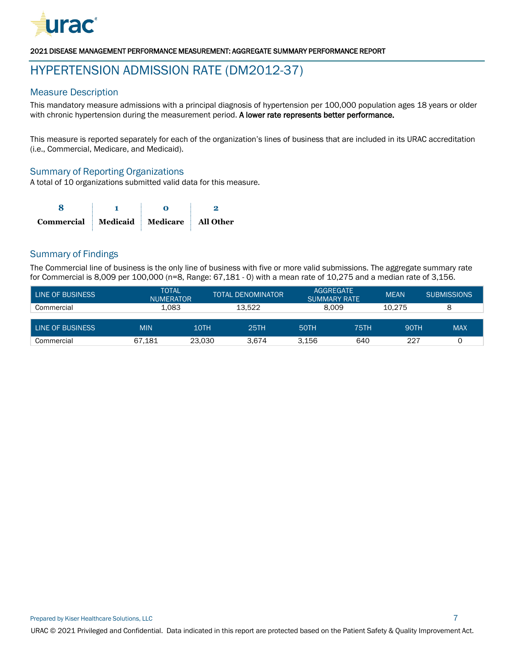

### <span id="page-8-0"></span>HYPERTENSION ADMISSION RATE (DM2012-37)

#### Measure Description

This mandatory measure admissions with a principal diagnosis of hypertension per 100,000 population ages 18 years or older with chronic hypertension during the measurement period. A lower rate represents better performance.

This measure is reported separately for each of the organization's lines of business that are included in its URAC accreditation (i.e., Commercial, Medicare, and Medicaid).

#### Summary of Reporting Organizations

A total of 10 organizations submitted valid data for this measure.

| Commercial Medicaid Medicare All Other |  |  |  |
|----------------------------------------|--|--|--|

#### Summary of Findings

The Commercial line of business is the only line of business with five or more valid submissions. The aggregate summary rate for Commercial is 8,009 per 100,000 (n=8, Range: 67,181 - 0) with a mean rate of 10,275 and a median rate of 3,156.

| <b>TOTAL</b><br>LINE OF BUSINESS<br><b>NUMERATOR</b> |            | <b>TOTAL DENOMINATOR</b> |        | <b>AGGREGATE</b><br><b>SUMMARY RATE</b> | <b>MEAN</b> | <b>SUBMISSIONS</b> |            |
|------------------------------------------------------|------------|--------------------------|--------|-----------------------------------------|-------------|--------------------|------------|
| Commercial                                           | 1.083      |                          | 13.522 | 8.009                                   |             | 10.275             |            |
|                                                      |            |                          |        |                                         |             |                    |            |
| LINE OF BUSINESS                                     | <b>MIN</b> | 10TH                     | 25TH   | <b>50TH</b>                             | 75TH        | 90TH               | <b>MAX</b> |
| Commercial                                           | 67.181     | 23.030                   | 3.674  | 3.156                                   | 640         | 227                |            |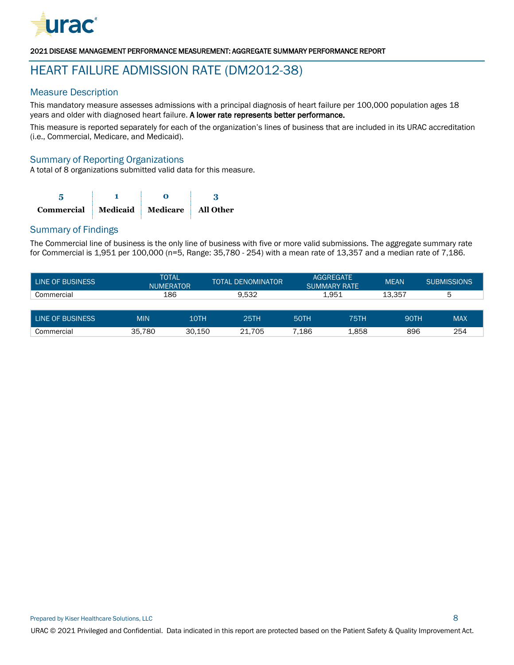

## <span id="page-9-0"></span>HEART FAILURE ADMISSION RATE (DM2012-38)

#### Measure Description

This mandatory measure assesses admissions with a principal diagnosis of heart failure per 100,000 population ages 18 years and older with diagnosed heart failure. A lower rate represents better performance.

This measure is reported separately for each of the organization's lines of business that are included in its URAC accreditation (i.e., Commercial, Medicare, and Medicaid).

#### Summary of Reporting Organizations

A total of 8 organizations submitted valid data for this measure.

| Commercial Medicaid Medicare All Other |  |  |  |  |
|----------------------------------------|--|--|--|--|

#### Summary of Findings

The Commercial line of business is the only line of business with five or more valid submissions. The aggregate summary rate for Commercial is 1,951 per 100,000 (n=5, Range: 35,780 - 254) with a mean rate of 13,357 and a median rate of 7,186.

| <b>TOTAL</b><br>LINE OF BUSINESS<br><b>NUMERATOR</b> |            | TOTAL DENOMINATOR | <b>AGGREGATE</b><br><b>SUMMARY RATE</b> |             | <b>MEAN</b> | <b>SUBMISSIONS</b> |            |
|------------------------------------------------------|------------|-------------------|-----------------------------------------|-------------|-------------|--------------------|------------|
| Commercial                                           | 186        |                   | 9.532                                   | 1.951       |             | 13.357             | 5          |
|                                                      |            |                   |                                         |             |             |                    |            |
| LINE OF BUSINESS                                     | <b>MIN</b> | 10TH              | 25TH                                    | <b>50TH</b> | <b>75TH</b> | <b>90TH</b>        | <b>MAX</b> |
| Commercial                                           | 35.780     | 30.150            | 21.705                                  | 7.186       | 1,858       | 896                | 254        |